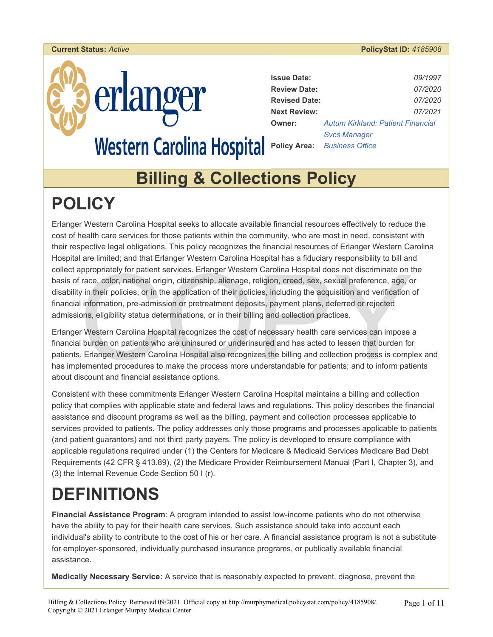



| <b>Issue Date:</b>   | 09/1997                                  |
|----------------------|------------------------------------------|
| <b>Review Date:</b>  | <i>07/2020</i>                           |
| <b>Revised Date:</b> | 07/2020                                  |
| <b>Next Review:</b>  | 07/2021                                  |
| <b>Owner:</b>        | <b>Autum Kirkland: Patient Financial</b> |
|                      | <b>Svcs Manager</b>                      |
|                      | <b>Policy Area:</b> Business Office      |

### **Billing & Collections Policy**

### **POLICY**

propriately for patient services. Erlanger Western Carolina Hospital does not discriminate on trace, color, national origin, citizenship, alienage, religion, creed, sex, sexual preference, age, or in their policies, or in Erlanger Western Carolina Hospital seeks to allocate available financial resources effectively to reduce the cost of health care services for those patients within the community, who are most in need, consistent with their respective legal obligations. This policy recognizes the financial resources of Erlanger Western Carolina Hospital are limited; and that Erlanger Western Carolina Hospital has a fiduciary responsibility to bill and collect appropriately for patient services. Erlanger Western Carolina Hospital does not discriminate on the basis of race, color, national origin, citizenship, alienage, religion, creed, sex, sexual preference, age, or disability in their policies, or in the application of their policies, including the acquisition and verification of financial information, pre-admission or pretreatment deposits, payment plans, deferred or rejected admissions, eligibility status determinations, or in their billing and collection practices.

Erlanger Western Carolina Hospital recognizes the cost of necessary health care services can impose a financial burden on patients who are uninsured or underinsured and has acted to lessen that burden for patients. Erlanger Western Carolina Hospital also recognizes the billing and collection process is complex and has implemented procedures to make the process more understandable for patients; and to inform patients about discount and financial assistance options.

Consistent with these commitments Erlanger Western Carolina Hospital maintains a billing and collection policy that complies with applicable state and federal laws and regulations. This policy describes the financial assistance and discount programs as well as the billing, payment and collection processes applicable to services provided to patients. The policy addresses only those programs and processes applicable to patients (and patient guarantors) and not third party payers. The policy is developed to ensure compliance with applicable regulations required under (1) the Centers for Medicare & Medicaid Services Medicare Bad Debt Requirements (42 CFR § 413.89), (2) the Medicare Provider Reimbursement Manual (Part I, Chapter 3), and (3) the Internal Revenue Code Section 50 I (r).

# **DEFINITIONS**

**Financial Assistance Program**: A program intended to assist low-income patients who do not otherwise have the ability to pay for their health care services. Such assistance should take into account each individual's ability to contribute to the cost of his or her care. A financial assistance program is not a substitute for employer-sponsored, individually purchased insurance programs, or publically available financial assistance.

**Medically Necessary Service:** A service that is reasonably expected to prevent, diagnose, prevent the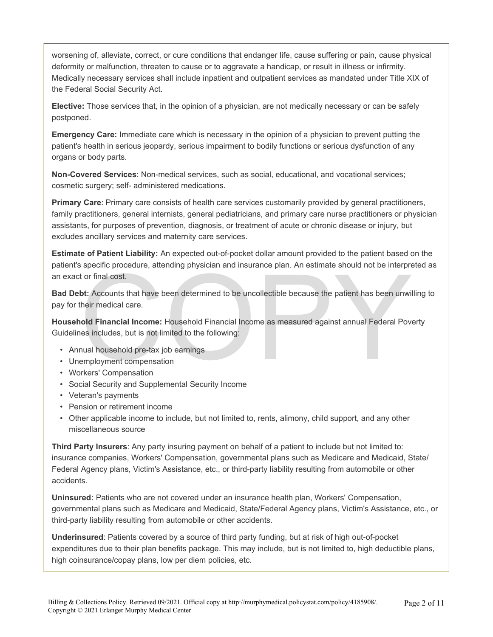worsening of, alleviate, correct, or cure conditions that endanger life, cause suffering or pain, cause physical deformity or malfunction, threaten to cause or to aggravate a handicap, or result in illness or infirmity. Medically necessary services shall include inpatient and outpatient services as mandated under Title XIX of the Federal Social Security Act.

**Elective:** Those services that, in the opinion of a physician, are not medically necessary or can be safely postponed.

**Emergency Care:** Immediate care which is necessary in the opinion of a physician to prevent putting the patient's health in serious jeopardy, serious impairment to bodily functions or serious dysfunction of any organs or body parts.

**Non-Covered Services**: Non-medical services, such as social, educational, and vocational services; cosmetic surgery; self- administered medications.

**Primary Care**: Primary care consists of health care services customarily provided by general practitioners, family practitioners, general internists, general pediatricians, and primary care nurse practitioners or physician assistants, for purposes of prevention, diagnosis, or treatment of acute or chronic disease or injury, but excludes ancillary services and maternity care services.

**Estimate of Patient Liability:** An expected out-of-pocket dollar amount provided to the patient based on the patient's specific procedure, attending physician and insurance plan. An estimate should not be interpreted as an exact or final cost.

specific procedure, attending physician and insurance plan. An estimate should not be interpret<br>or final cost.<br>bt: Accounts that have been determined to be uncollectible because the patient has been unwil<br>their medical car **Bad Debt:** Accounts that have been determined to be uncollectible because the patient has been unwilling to pay for their medical care.

**Household Financial Income:** Household Financial Income as measured against annual Federal Poverty Guidelines includes, but is not limited to the following:

- Annual household pre-tax job earnings
- Unemployment compensation
- Workers' Compensation
- Social Security and Supplemental Security Income
- Veteran's payments
- Pension or retirement income
- Other applicable income to include, but not limited to, rents, alimony, child support, and any other miscellaneous source

**Third Party Insurers**: Any party insuring payment on behalf of a patient to include but not limited to: insurance companies, Workers' Compensation, governmental plans such as Medicare and Medicaid, State/ Federal Agency plans, Victim's Assistance, etc., or third-party liability resulting from automobile or other accidents.

**Uninsured:** Patients who are not covered under an insurance health plan, Workers' Compensation, governmental plans such as Medicare and Medicaid, State/Federal Agency plans, Victim's Assistance, etc., or third-party liability resulting from automobile or other accidents.

**Underinsured**: Patients covered by a source of third party funding, but at risk of high out-of-pocket expenditures due to their plan benefits package. This may include, but is not limited to, high deductible plans, high coinsurance/copay plans, low per diem policies, etc.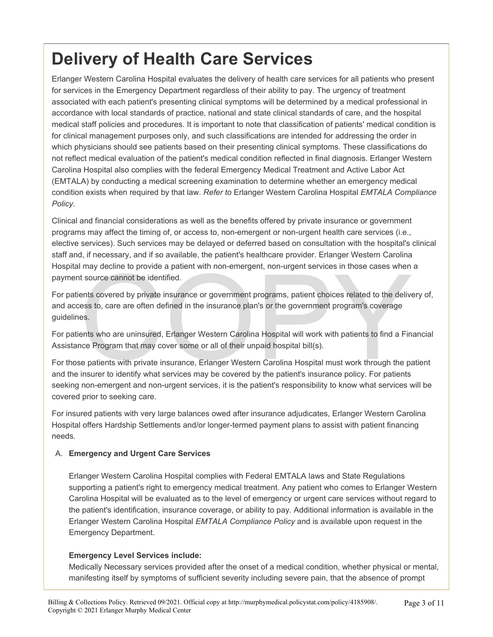### **Delivery of Health Care Services**

Erlanger Western Carolina Hospital evaluates the delivery of health care services for all patients who present for services in the Emergency Department regardless of their ability to pay. The urgency of treatment associated with each patient's presenting clinical symptoms will be determined by a medical professional in accordance with local standards of practice, national and state clinical standards of care, and the hospital medical staff policies and procedures. It is important to note that classification of patients' medical condition is for clinical management purposes only, and such classifications are intended for addressing the order in which physicians should see patients based on their presenting clinical symptoms. These classifications do not reflect medical evaluation of the patient's medical condition reflected in final diagnosis. Erlanger Western Carolina Hospital also complies with the federal Emergency Medical Treatment and Active Labor Act (EMTALA) by conducting a medical screening examination to determine whether an emergency medical condition exists when required by that law. *Refer to* Erlanger Western Carolina Hospital *EMTALA Compliance Policy.* 

Clinical and financial considerations as well as the benefits offered by private insurance or government programs may affect the timing of, or access to, non-emergent or non-urgent health care services (i.e., elective services). Such services may be delayed or deferred based on consultation with the hospital's clinical staff and, if necessary, and if so available, the patient's healthcare provider. Erlanger Western Carolina Hospital may decline to provide a patient with non-emergent, non-urgent services in those cases when a payment source cannot be identified.

I may decline to provide a patient with non-emergent, non-urgent services in those cases when<br>t source cannot be identified.<br>ents covered by private insurance or government programs, patient choices related to the delives<br> For patients covered by private insurance or government programs, patient choices related to the delivery of, and access to, care are often defined in the insurance plan's or the government program's coverage guidelines.

For patients who are uninsured, Erlanger Western Carolina Hospital will work with patients to find a Financial Assistance Program that may cover some or all of their unpaid hospital bill(s).

For those patients with private insurance, Erlanger Western Carolina Hospital must work through the patient and the insurer to identify what services may be covered by the patient's insurance policy. For patients seeking non-emergent and non-urgent services, it is the patient's responsibility to know what services will be covered prior to seeking care.

For insured patients with very large balances owed after insurance adjudicates, Erlanger Western Carolina Hospital offers Hardship Settlements and/or longer-termed payment plans to assist with patient financing needs.

#### A. **Emergency and Urgent Care Services**

Erlanger Western Carolina Hospital complies with Federal EMTALA laws and State Regulations supporting a patient's right to emergency medical treatment. Any patient who comes to Erlanger Western Carolina Hospital will be evaluated as to the level of emergency or urgent care services without regard to the patient's identification, insurance coverage, or ability to pay. Additional information is available in the Erlanger Western Carolina Hospital *EMTALA Compliance Policy* and is available upon request in the Emergency Department.

#### **Emergency Level Services include:**

Medically Necessary services provided after the onset of a medical condition, whether physical or mental, manifesting itself by symptoms of sufficient severity including severe pain, that the absence of prompt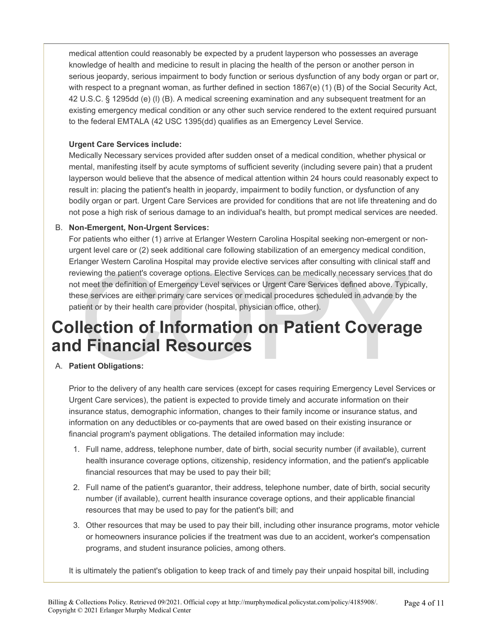medical attention could reasonably be expected by a prudent layperson who possesses an average knowledge of health and medicine to result in placing the health of the person or another person in serious jeopardy, serious impairment to body function or serious dysfunction of any body organ or part or, with respect to a pregnant woman, as further defined in section 1867(e) (1) (B) of the Social Security Act, 42 U.S.C. § 1295dd (e) (l) (B). A medical screening examination and any subsequent treatment for an existing emergency medical condition or any other such service rendered to the extent required pursuant to the federal EMTALA (42 USC 1395(dd) qualifies as an Emergency Level Service.

#### **Urgent Care Services include:**

Medically Necessary services provided after sudden onset of a medical condition, whether physical or mental, manifesting itself by acute symptoms of sufficient severity (including severe pain) that a prudent layperson would believe that the absence of medical attention within 24 hours could reasonably expect to result in: placing the patient's health in jeopardy, impairment to bodily function, or dysfunction of any bodily organ or part. Urgent Care Services are provided for conditions that are not life threatening and do not pose a high risk of serious damage to an individual's health, but prompt medical services are needed.

#### B. **Non-Emergent, Non-Urgent Services:**

Experiment and the patient's coverage options. Elective Services can be medically necessary services the meet the definition of Emergency Level services or Urgent Care Services defined above. Typic se services are either p For patients who either (1) arrive at Erlanger Western Carolina Hospital seeking non-emergent or nonurgent level care or (2) seek additional care following stabilization of an emergency medical condition, Erlanger Western Carolina Hospital may provide elective services after consulting with clinical staff and reviewing the patient's coverage options. Elective Services can be medically necessary services that do not meet the definition of Emergency Level services or Urgent Care Services defined above. Typically, these services are either primary care services or medical procedures scheduled in advance by the patient or by their health care provider (hospital, physician office, other).

### **Collection of Information on Patient Coverage and Financial Resources**

#### A. **Patient Obligations:**

Prior to the delivery of any health care services (except for cases requiring Emergency Level Services or Urgent Care services), the patient is expected to provide timely and accurate information on their insurance status, demographic information, changes to their family income or insurance status, and information on any deductibles or co-payments that are owed based on their existing insurance or financial program's payment obligations. The detailed information may include:

- 1. Full name, address, telephone number, date of birth, social security number (if available), current health insurance coverage options, citizenship, residency information, and the patient's applicable financial resources that may be used to pay their bill;
- 2. Full name of the patient's guarantor, their address, telephone number, date of birth, social security number (if available), current health insurance coverage options, and their applicable financial resources that may be used to pay for the patient's bill; and
- 3. Other resources that may be used to pay their bill, including other insurance programs, motor vehicle or homeowners insurance policies if the treatment was due to an accident, worker's compensation programs, and student insurance policies, among others.

It is ultimately the patient's obligation to keep track of and timely pay their unpaid hospital bill, including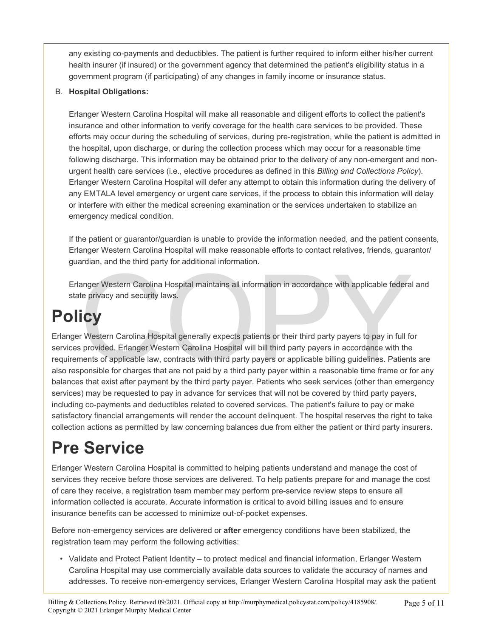any existing co-payments and deductibles. The patient is further required to inform either his/her current health insurer (if insured) or the government agency that determined the patient's eligibility status in a government program (if participating) of any changes in family income or insurance status.

#### B. **Hospital Obligations:**

Erlanger Western Carolina Hospital will make all reasonable and diligent efforts to collect the patient's insurance and other information to verify coverage for the health care services to be provided. These efforts may occur during the scheduling of services, during pre-registration, while the patient is admitted in the hospital, upon discharge, or during the collection process which may occur for a reasonable time following discharge. This information may be obtained prior to the delivery of any non-emergent and nonurgent health care services (i.e., elective procedures as defined in this *Billing and Collections Policy*). Erlanger Western Carolina Hospital will defer any attempt to obtain this information during the delivery of any EMTALA level emergency or urgent care services, if the process to obtain this information will delay or interfere with either the medical screening examination or the services undertaken to stabilize an emergency medical condition.

If the patient or guarantor/guardian is unable to provide the information needed, and the patient consents, Erlanger Western Carolina Hospital will make reasonable efforts to contact relatives, friends, guarantor/ guardian, and the third party for additional information.

Erlanger Western Carolina Hospital maintains all information in accordance with applicable federal and state privacy and security laws.

## **Policy**

Example the since party text distinct intermals of the accordance with applicable federal<br>anger Western Carolina Hospital maintains all information in accordance with applicable federal<br>te privacy and security laws.<br>Transl Erlanger Western Carolina Hospital generally expects patients or their third party payers to pay in full for services provided. Erlanger Western Carolina Hospital will bill third party payers in accordance with the requirements of applicable law, contracts with third party payers or applicable billing guidelines. Patients are also responsible for charges that are not paid by a third party payer within a reasonable time frame or for any balances that exist after payment by the third party payer. Patients who seek services (other than emergency services) may be requested to pay in advance for services that will not be covered by third party payers, including co-payments and deductibles related to covered services. The patient's failure to pay or make satisfactory financial arrangements will render the account delinquent. The hospital reserves the right to take collection actions as permitted by law concerning balances due from either the patient or third party insurers.

## **Pre Service**

Erlanger Western Carolina Hospital is committed to helping patients understand and manage the cost of services they receive before those services are delivered. To help patients prepare for and manage the cost of care they receive, a registration team member may perform pre-service review steps to ensure all information collected is accurate. Accurate information is critical to avoid billing issues and to ensure insurance benefits can be accessed to minimize out-of-pocket expenses.

Before non-emergency services are delivered or **after** emergency conditions have been stabilized, the registration team may perform the following activities:

• Validate and Protect Patient Identity – to protect medical and financial information, Erlanger Western Carolina Hospital may use commercially available data sources to validate the accuracy of names and addresses. To receive non-emergency services, Erlanger Western Carolina Hospital may ask the patient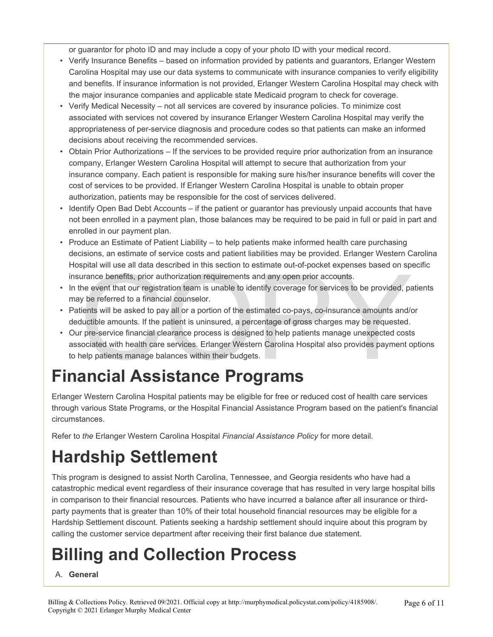or guarantor for photo ID and may include a copy of your photo ID with your medical record.

- Verify Insurance Benefits based on information provided by patients and guarantors, Erlanger Western Carolina Hospital may use our data systems to communicate with insurance companies to verify eligibility and benefits. If insurance information is not provided, Erlanger Western Carolina Hospital may check with the major insurance companies and applicable state Medicaid program to check for coverage.
- Verify Medical Necessity not all services are covered by insurance policies. To minimize cost associated with services not covered by insurance Erlanger Western Carolina Hospital may verify the appropriateness of per-service diagnosis and procedure codes so that patients can make an informed decisions about receiving the recommended services.
- Obtain Prior Authorizations If the services to be provided require prior authorization from an insurance company, Erlanger Western Carolina Hospital will attempt to secure that authorization from your insurance company. Each patient is responsible for making sure his/her insurance benefits will cover the cost of services to be provided. If Erlanger Western Carolina Hospital is unable to obtain proper authorization, patients may be responsible for the cost of services delivered.
- Identify Open Bad Debt Accounts if the patient or guarantor has previously unpaid accounts that have not been enrolled in a payment plan, those balances may be required to be paid in full or paid in part and enrolled in our payment plan.
- Produce an Estimate of Patient Liability to help patients make informed health care purchasing decisions, an estimate of service costs and patient liabilities may be provided. Erlanger Western Carolina Hospital will use all data described in this section to estimate out-of-pocket expenses based on specific insurance benefits, prior authorization requirements and any open prior accounts.
- In the event that our registration team is unable to identify coverage for services to be provided, patients may be referred to a financial counselor.
- Patients will be asked to pay all or a portion of the estimated co-pays, co-insurance amounts and/or deductible amounts. If the patient is uninsured, a percentage of gross charges may be requested.
- spiral will use all data described in this section to estimate out-or-pocket expenses based on spiral will use all data described in this section to estimate out-or-pocket expenses based on spiral variance benefits, prior • Our pre-service financial clearance process is designed to help patients manage unexpected costs associated with health care services. Erlanger Western Carolina Hospital also provides payment options to help patients manage balances within their budgets.

### **Financial Assistance Programs**

Erlanger Western Carolina Hospital patients may be eligible for free or reduced cost of health care services through various State Programs, or the Hospital Financial Assistance Program based on the patient's financial circumstances.

Refer to *the* Erlanger Western Carolina Hospital *Financial Assistance Policy* for more detail*.* 

## **Hardship Settlement**

This program is designed to assist North Carolina, Tennessee, and Georgia residents who have had a catastrophic medical event regardless of their insurance coverage that has resulted in very large hospital bills in comparison to their financial resources. Patients who have incurred a balance after all insurance or thirdparty payments that is greater than 10% of their total household financial resources may be eligible for a Hardship Settlement discount. Patients seeking a hardship settlement should inquire about this program by calling the customer service department after receiving their first balance due statement.

# **Billing and Collection Process**

A. **General**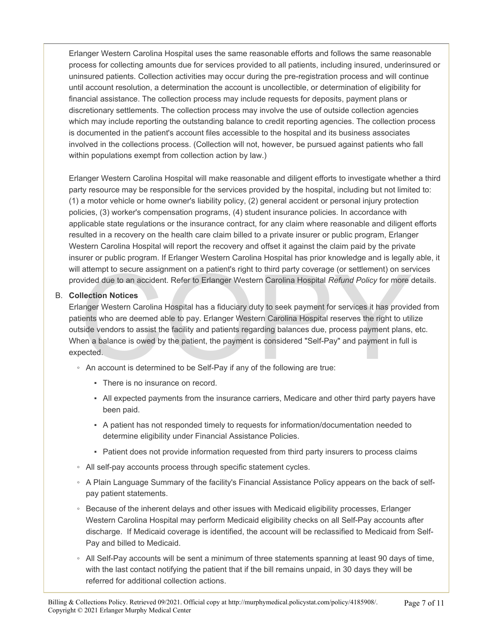Erlanger Western Carolina Hospital uses the same reasonable efforts and follows the same reasonable process for collecting amounts due for services provided to all patients, including insured, underinsured or uninsured patients. Collection activities may occur during the pre-registration process and will continue until account resolution, a determination the account is uncollectible, or determination of eligibility for financial assistance. The collection process may include requests for deposits, payment plans or discretionary settlements. The collection process may involve the use of outside collection agencies which may include reporting the outstanding balance to credit reporting agencies. The collection process is documented in the patient's account files accessible to the hospital and its business associates involved in the collections process. (Collection will not, however, be pursued against patients who fall within populations exempt from collection action by law.)

Erlanger Western Carolina Hospital will make reasonable and diligent efforts to investigate whether a third party resource may be responsible for the services provided by the hospital, including but not limited to: (1) a motor vehicle or home owner's liability policy, (2) general accident or personal injury protection policies, (3) worker's compensation programs, (4) student insurance policies. In accordance with applicable state regulations or the insurance contract, for any claim where reasonable and diligent efforts resulted in a recovery on the health care claim billed to a private insurer or public program, Erlanger Western Carolina Hospital will report the recovery and offset it against the claim paid by the private insurer or public program. If Erlanger Western Carolina Hospital has prior knowledge and is legally able, it will attempt to secure assignment on a patient's right to third party coverage (or settlement) on services provided due to an accident. Refer to Erlanger Western Carolina Hospital *Refund Policy* for more details.

#### B. **Collection Notices**

attempt to secure assignment on a patient's right to third party coverage (or settlement) on servided due to an accident. Refer to Erlanger Western Carolina Hospital *Refund Policy* for more of **llection Notices**<br>
anger We Erlanger Western Carolina Hospital has a fiduciary duty to seek payment for services it has provided from patients who are deemed able to pay. Erlanger Western Carolina Hospital reserves the right to utilize outside vendors to assist the facility and patients regarding balances due, process payment plans, etc. When a balance is owed by the patient, the payment is considered "Self-Pay" and payment in full is expected.

- An account is determined to be Self-Pay if any of the following are true:
	- There is no insurance on record.
	- All expected payments from the insurance carriers, Medicare and other third party payers have been paid.
	- A patient has not responded timely to requests for information/documentation needed to determine eligibility under Financial Assistance Policies.
	- Patient does not provide information requested from third party insurers to process claims
- All self-pay accounts process through specific statement cycles.
- A Plain Language Summary of the facility's Financial Assistance Policy appears on the back of selfpay patient statements.
- Because of the inherent delays and other issues with Medicaid eligibility processes, Erlanger Western Carolina Hospital may perform Medicaid eligibility checks on all Self-Pay accounts after discharge. If Medicaid coverage is identified, the account will be reclassified to Medicaid from Self-Pay and billed to Medicaid.
- All Self-Pay accounts will be sent a minimum of three statements spanning at least 90 days of time, with the last contact notifying the patient that if the bill remains unpaid, in 30 days they will be referred for additional collection actions.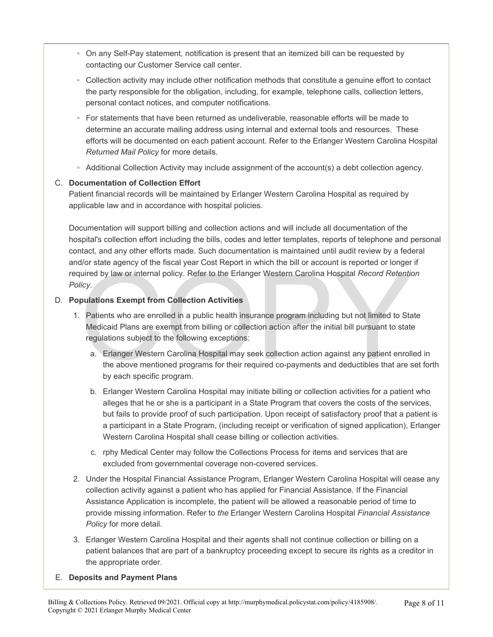- On any Self-Pay statement, notification is present that an itemized bill can be requested by contacting our Customer Service call center.
- Collection activity may include other notification methods that constitute a genuine effort to contact the party responsible for the obligation, including, for example, telephone calls, collection letters, personal contact notices, and computer notifications.
- For statements that have been returned as undeliverable, reasonable efforts will be made to determine an accurate mailing address using internal and external tools and resources. These efforts will be documented on each patient account. Refer to the Erlanger Western Carolina Hospital *Returned Mail Policy* for more details.
- Additional Collection Activity may include assignment of the account(s) a debt collection agency.

#### C. **Documentation of Collection Effort**

Patient financial records will be maintained by Erlanger Western Carolina Hospital as required by applicable law and in accordance with hospital policies.

Documentation will support billing and collection actions and will include all documentation of the hospital's collection effort including the bills, codes and letter templates, reports of telephone and personal contact, and any other efforts made. Such documentation is maintained until audit review by a federal and/or state agency of the fiscal year Cost Report in which the bill or account is reported or longer if required by law or internal policy. Refer to the Erlanger Western Carolina Hospital *Record Retention Policy*.

#### D. **Populations Exempt from Collection Activities**

- The Hanger of the Internal policy. Refer to the Erlanger Western Carolina Hospital Record Retention<br>Icy.<br>
Figure 1 out of the Erlanger Western Carolina Hospital Record Retention<br>
Patients who are enrolled in a public healt 1. Patients who are enrolled in a public health insurance program including but not limited to State Medicaid Plans are exempt from billing or collection action after the initial bill pursuant to state regulations subject to the following exceptions:
	- a. Erlanger Western Carolina Hospital may seek collection action against any patient enrolled in the above mentioned programs for their required co-payments and deductibles that are set forth by each specific program.
	- b. Erlanger Western Carolina Hospital may initiate billing or collection activities for a patient who alleges that he or she is a participant in a State Program that covers the costs of the services, but fails to provide proof of such participation. Upon receipt of satisfactory proof that a patient is a participant in a State Program, (including receipt or verification of signed application), Erlanger Western Carolina Hospital shall cease billing or collection activities.
	- c. rphy Medical Center may follow the Collections Process for items and services that are excluded from governmental coverage non-covered services.
- 2. Under the Hospital Financial Assistance Program, Erlanger Western Carolina Hospital will cease any collection activity against a patient who has applied for Financial Assistance. If the Financial Assistance Application is incomplete, the patient will be allowed a reasonable period of time to provide missing information. Refer to *the* Erlanger Western Carolina Hospital *Financial Assistance Policy* for more detail.
- 3. Erlanger Western Carolina Hospital and their agents shall not continue collection or billing on a patient balances that are part of a bankruptcy proceeding except to secure its rights as a creditor in the appropriate order.
- E. **Deposits and Payment Plans**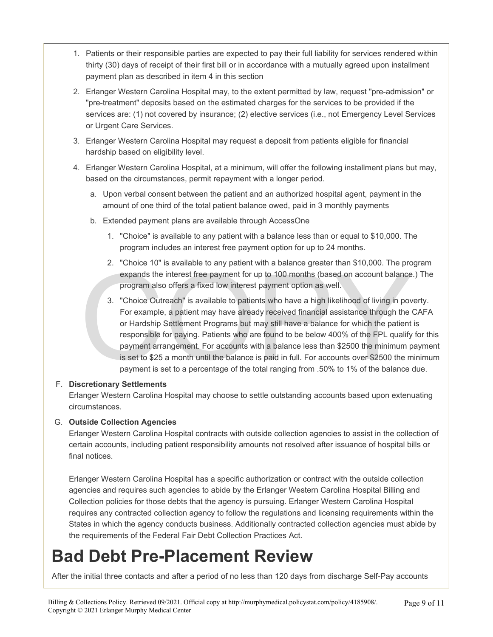- 1. Patients or their responsible parties are expected to pay their full liability for services rendered within thirty (30) days of receipt of their first bill or in accordance with a mutually agreed upon installment payment plan as described in item 4 in this section
- 2. Erlanger Western Carolina Hospital may, to the extent permitted by law, request "pre-admission" or "pre-treatment" deposits based on the estimated charges for the services to be provided if the services are: (1) not covered by insurance; (2) elective services (i.e., not Emergency Level Services or Urgent Care Services.
- 3. Erlanger Western Carolina Hospital may request a deposit from patients eligible for financial hardship based on eligibility level.
- 4. Erlanger Western Carolina Hospital, at a minimum, will offer the following installment plans but may, based on the circumstances, permit repayment with a longer period.
	- a. Upon verbal consent between the patient and an authorized hospital agent, payment in the amount of one third of the total patient balance owed, paid in 3 monthly payments
	- b. Extended payment plans are available through AccessOne
		- 1. "Choice" is available to any patient with a balance less than or equal to \$10,000. The program includes an interest free payment option for up to 24 months.
		- 2. "Choice 10" is available to any patient with a balance greater than \$10,000. The program expands the interest free payment for up to 100 months (based on account balance.) The program also offers a fixed low interest payment option as well.
	- 2. Choice To is available to any patient wint a bataloc gloder than  $\sqrt{10,000}$ . The procedured and the interest free payment for up to 100 months (based on account balance program also offers a fixed low interest payment 3. "Choice Outreach" is available to patients who have a high likelihood of living in poverty. For example, a patient may have already received financial assistance through the CAFA or Hardship Settlement Programs but may still have a balance for which the patient is responsible for paying. Patients who are found to be below 400% of the FPL qualify for this payment arrangement. For accounts with a balance less than \$2500 the minimum payment is set to \$25 a month until the balance is paid in full. For accounts over \$2500 the minimum payment is set to a percentage of the total ranging from .50% to 1% of the balance due.

#### F. **Discretionary Settlements**

Erlanger Western Carolina Hospital may choose to settle outstanding accounts based upon extenuating circumstances.

#### G. **Outside Collection Agencies**

Erlanger Western Carolina Hospital contracts with outside collection agencies to assist in the collection of certain accounts, including patient responsibility amounts not resolved after issuance of hospital bills or final notices.

Erlanger Western Carolina Hospital has a specific authorization or contract with the outside collection agencies and requires such agencies to abide by the Erlanger Western Carolina Hospital Billing and Collection policies for those debts that the agency is pursuing. Erlanger Western Carolina Hospital requires any contracted collection agency to follow the regulations and licensing requirements within the States in which the agency conducts business. Additionally contracted collection agencies must abide by the requirements of the Federal Fair Debt Collection Practices Act.

### **Bad Debt Pre-Placement Review**

After the initial three contacts and after a period of no less than 120 days from discharge Self-Pay accounts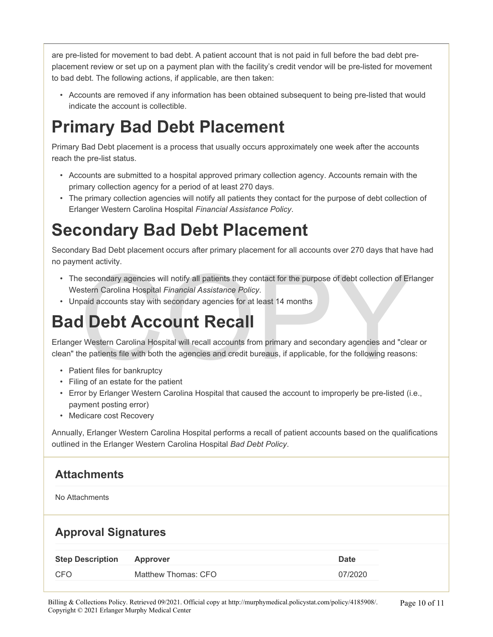are pre-listed for movement to bad debt. A patient account that is not paid in full before the bad debt preplacement review or set up on a payment plan with the facility's credit vendor will be pre-listed for movement to bad debt. The following actions, if applicable, are then taken:

• Accounts are removed if any information has been obtained subsequent to being pre-listed that would indicate the account is collectible.

### **Primary Bad Debt Placement**

Primary Bad Debt placement is a process that usually occurs approximately one week after the accounts reach the pre-list status.

- Accounts are submitted to a hospital approved primary collection agency. Accounts remain with the primary collection agency for a period of at least 270 days.
- The primary collection agencies will notify all patients they contact for the purpose of debt collection of Erlanger Western Carolina Hospital *Financial Assistance Policy*.

### **Secondary Bad Debt Placement**

Secondary Bad Debt placement occurs after primary placement for all accounts over 270 days that have had no payment activity.

- ben dearny.<br>
Se secondary agencies will notify all patients they contact for the purpose of debt collection of Eristern Carolina Hospital *Financial Assistance Policy.*<br>
paid accounts stay with secondary agencies for at le • The secondary agencies will notify all patients they contact for the purpose of debt collection of Erlanger Western Carolina Hospital *Financial Assistance Policy*.
- Unpaid accounts stay with secondary agencies for at least 14 months

### **Bad Debt Account Recall**

Erlanger Western Carolina Hospital will recall accounts from primary and secondary agencies and "clear or clean" the patients file with both the agencies and credit bureaus, if applicable, for the following reasons:

- Patient files for bankruptcy
- Filing of an estate for the patient
- Error by Erlanger Western Carolina Hospital that caused the account to improperly be pre-listed (i.e., payment posting error)
- Medicare cost Recovery

Annually, Erlanger Western Carolina Hospital performs a recall of patient accounts based on the qualifications outlined in the Erlanger Western Carolina Hospital *Bad Debt Policy*.

### **Attachments**

No Attachments

#### **Approval Signatures**

| <b>Step Description</b> | Approver            | <b>Date</b> |
|-------------------------|---------------------|-------------|
| CFO                     | Matthew Thomas: CFO | 07/2020     |